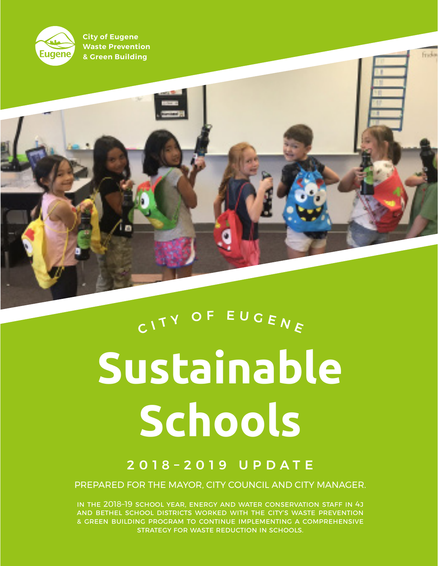

**City of Eugene Waste Prevention & Green Building** 

 $\frac{1}{\sqrt{2}}$ 

# **Sustainable Schools** CITY OF EUGENE

## 2018–2019 UPDATE

PREPARED FOR THE MAYOR, CITY COUNCIL AND CITY MANAGER.

In the 2018–19 school year, Energy and Water Conservation staff in 4J and Bethel school districts worked with the City's Waste Prevention & Green Building program to continue implementing a comprehensive strategy for waste reduction in schools.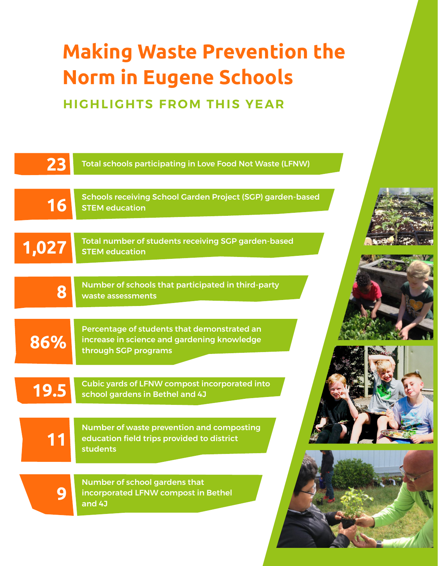# **Making Waste Prevention the Norm in Eugene Schools**

**HIGHLIGHTS FROM THIS YEAR**

| 23    | <b>Total schools participating in Love Food Not Waste (LFNW)</b>                                                   |
|-------|--------------------------------------------------------------------------------------------------------------------|
| 16    | Schools receiving School Garden Project (SGP) garden-based<br><b>STEM education</b>                                |
| 1,027 | Total number of students receiving SGP garden-based<br><b>STEM education</b>                                       |
| 8     | Number of schools that participated in third-party<br>waste assessments                                            |
| 86%   | Percentage of students that demonstrated an<br>increase in science and gardening knowledge<br>through SGP programs |
| 19.5  | <b>Cubic yards of LFNW compost incorporated into</b><br>school gardens in Bethel and 4J                            |
| 11    | Number of waste prevention and composting<br>education field trips provided to district<br><b>students</b>         |
| 9     | Number of school gardens that<br>incorporated LFNW compost in Bethel<br>and 4J                                     |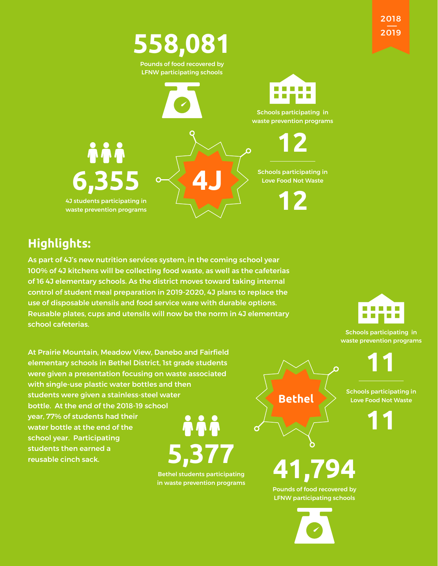



# **Highlights:**

As part of 4J's new nutrition services system, in the coming school year 100% of 4J kitchens will be collecting food waste, as well as the cafeterias of 16 4J elementary schools. As the district moves toward taking internal control of student meal preparation in 2019-2020, 4J plans to replace the use of disposable utensils and food service ware with durable options. Reusable plates, cups and utensils will now be the norm in 4J elementary school cafeterias.



Schools participating in waste prevention programs

**11**

Schools participating in Love Food Not Waste

**11**

At Prairie Mountain, Meadow View, Danebo and Fairfield elementary schools in Bethel District, 1st grade students were given a presentation focusing on waste associated with single-use plastic water bottles and then students were given a stainless-steel water bottle. At the end of the 2018-19 school year, 77% of students had their **ÀÀÀ** water bottle at the end of the school year. Participating **5,377** students then earned a reusable cinch sack.

> Bethel students participating in waste prevention programs

**Bethel**

**41,794**

Pounds of food recovered by LFNW participating schools